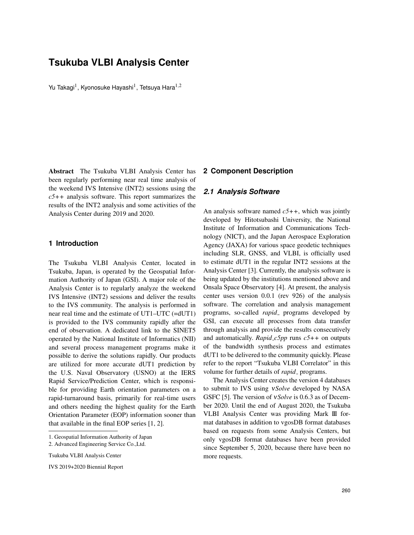# **Tsukuba VLBI Analysis Center**

Yu Takagi $^1$ , Kyonosuke Hayashi $^1$ , Tetsuya Hara $^{1,2}$ 

Abstract The Tsukuba VLBI Analysis Center has been regularly performing near real time analysis of the weekend IVS Intensive (INT2) sessions using the *c5++* analysis software. This report summarizes the results of the INT2 analysis and some activities of the Analysis Center during 2019 and 2020.

# **1 Introduction**

The Tsukuba VLBI Analysis Center, located in Tsukuba, Japan, is operated by the Geospatial Information Authority of Japan (GSI). A major role of the Analysis Center is to regularly analyze the weekend IVS Intensive (INT2) sessions and deliver the results to the IVS community. The analysis is performed in near real time and the estimate of UT1–UTC (=dUT1) is provided to the IVS community rapidly after the end of observation. A dedicated link to the SINET5 operated by the National Institute of Informatics (NII) and several process management programs make it possible to derive the solutions rapidly. Our products are utilized for more accurate dUT1 prediction by the U.S. Naval Observatory (USNO) at the IERS Rapid Service/Prediction Center, which is responsible for providing Earth orientation parameters on a rapid-turnaround basis, primarily for real-time users and others needing the highest quality for the Earth Orientation Parameter (EOP) information sooner than that available in the final EOP series [1, 2].

Tsukuba VLBI Analysis Center

### **2 Component Description**

### *2.1 Analysis Software*

An analysis software named *c5++*, which was jointly developed by Hitotsubashi University, the National Institute of Information and Communications Technology (NICT), and the Japan Aerospace Exploration Agency (JAXA) for various space geodetic techniques including SLR, GNSS, and VLBI, is officially used to estimate dUT1 in the regular INT2 sessions at the Analysis Center [3]. Currently, the analysis software is being updated by the institutions mentioned above and Onsala Space Observatory [4]. At present, the analysis center uses version 0.0.1 (rev 926) of the analysis software. The correlation and analysis management programs, so-called *rapid* programs developed by GSI, can execute all processes from data transfer through analysis and provide the results consecutively and automatically. *Rapid c5pp* runs *c5++* on outputs of the bandwidth synthesis process and estimates dUT1 to be delivered to the community quickly. Please refer to the report "Tsukuba VLBI Correlator" in this volume for further details of *rapid* programs.

The Analysis Center creates the version 4 databases to submit to IVS using ν*Solve* developed by NASA GSFC [5]. The version of ν*Solve* is 0.6.3 as of December 2020. Until the end of August 2020, the Tsukuba VLBI Analysis Center was providing Mark III format databases in addition to vgosDB format databases based on requests from some Analysis Centers, but only vgosDB format databases have been provided since September 5, 2020, because there have been no more requests.

<sup>1.</sup> Geospatial Information Authority of Japan

<sup>2.</sup> Advanced Engineering Service Co.,Ltd.

IVS 2019+2020 Biennial Report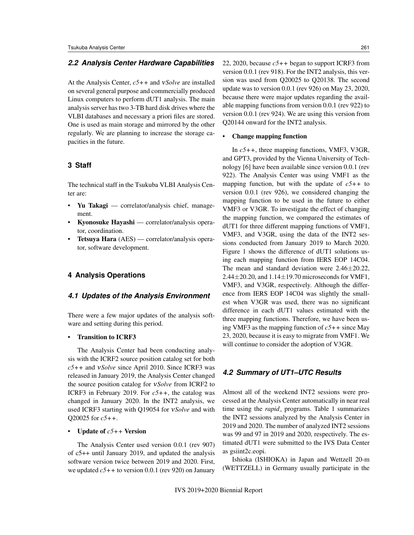# *2.2 Analysis Center Hardware Capabilities*

At the Analysis Center, *c5++* and ν*Solve* are installed on several general purpose and commercially produced Linux computers to perform dUT1 analysis. The main analysis server has two 3-TB hard disk drives where the VLBI databases and necessary a priori files are stored. One is used as main storage and mirrored by the other regularly. We are planning to increase the storage capacities in the future.

### **3 Staff**

The technical staff in the Tsukuba VLBI Analysis Center are:

- Yu Takagi correlator/analysis chief, management.
- Kyonosuke Hayashi correlator/analysis operator, coordination.
- Tetsuya Hara (AES) correlator/analysis operator, software development.

# **4 Analysis Operations**

#### *4.1 Updates of the Analysis Environment*

There were a few major updates of the analysis software and setting during this period.

#### • Transition to ICRF3

The Analysis Center had been conducting analysis with the ICRF2 source position catalog set for both *c5++* and ν*Solve* since April 2010. Since ICRF3 was released in January 2019, the Analysis Center changed the source position catalog for ν*Solve* from ICRF2 to ICRF3 in February 2019. For *c5++*, the catalog was changed in January 2020. In the INT2 analysis, we used ICRF3 starting with Q19054 for ν*Solve* and with Q20025 for *c5++*.

#### • Update of *c5++* Version

The Analysis Center used version 0.0.1 (rev 907) of c5++ until January 2019, and updated the analysis software version twice between 2019 and 2020. First, we updated *c5++* to version 0.0.1 (rev 920) on January 22, 2020, because *c5++* began to support ICRF3 from version 0.0.1 (rev 918). For the INT2 analysis, this version was used from Q20025 to Q20138. The second update was to version 0.0.1 (rev 926) on May 23, 2020, because there were major updates regarding the available mapping functions from version 0.0.1 (rev 922) to version 0.0.1 (rev 924). We are using this version from Q20144 onward for the INT2 analysis.

#### • Change mapping function

In *c5++*, three mapping functions, VMF3, V3GR, and GPT3, provided by the Vienna University of Technology [6] have been available since version 0.0.1 (rev 922). The Analysis Center was using VMF1 as the mapping function, but with the update of *c5++* to version 0.0.1 (rev 926), we considered changing the mapping function to be used in the future to either VMF3 or V3GR. To investigate the effect of changing the mapping function, we compared the estimates of dUT1 for three different mapping functions of VMF1, VMF3, and V3GR, using the data of the INT2 sessions conducted from January 2019 to March 2020. Figure 1 shows the difference of dUT1 solutions using each mapping function from IERS EOP 14C04. The mean and standard deviation were 2.46±20.22, 2.44 $\pm$ 20.20, and 1.14 $\pm$ 19.70 microseconds for VMF1, VMF3, and V3GR, respectively. Although the difference from IERS EOP 14C04 was slightly the smallest when V3GR was used, there was no significant difference in each dUT1 values estimated with the three mapping functions. Therefore, we have been using VMF3 as the mapping function of *c5++* since May 23, 2020, because it is easy to migrate from VMF1. We will continue to consider the adoption of V3GR.

# *4.2 Summary of UT1–UTC Results*

Almost all of the weekend INT2 sessions were processed at the Analysis Center automatically in near real time using the *rapid* programs. Table 1 summarizes the INT2 sessions analyzed by the Analysis Center in 2019 and 2020. The number of analyzed INT2 sessions was 99 and 97 in 2019 and 2020, respectively. The estimated dUT1 were submitted to the IVS Data Center as gsiint2c.eopi.

Ishioka (ISHIOKA) in Japan and Wettzell 20-m (WETTZELL) in Germany usually participate in the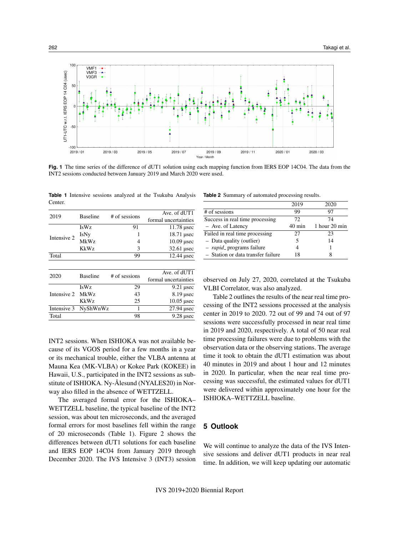

**Fig. 1** The time series of the difference of dUT1 solution using each mapping function from IERS EOP 14C04. The data from the INT2 sessions conducted between January 2019 and March 2020 were used.

|         | Table 1 Intensive sessions analyzed at the Tsukuba Analysis |  |  |  |
|---------|-------------------------------------------------------------|--|--|--|
| Center. |                                                             |  |  |  |

| 2019        | <b>Baseline</b> | # of sessions | Ave. of dUT1         |
|-------------|-----------------|---------------|----------------------|
|             |                 |               | formal uncertainties |
|             | <b>IsWz</b>     | 91            | $11.78$ usec         |
| Intensive 2 | IsNy            |               | $18.71$ µsec         |
|             | <b>MkWz</b>     | 4             | $10.09$ usec         |
|             | <b>KkWz</b>     | 3             | $32.61$ usec         |
| Total       |                 | 99            | 12.44 usec           |
|             |                 |               |                      |
|             | <b>Baseline</b> |               | Ave. of dUT1         |
| 2020        |                 | # of sessions | formal uncertainties |
|             | <b>IsWz</b>     | 29            | $9.21$ usec          |
| Intensive 2 | MkWz            | 43            | $8.19$ usec          |
|             | <b>KkWz</b>     | 25            | $10.05$ usec         |
| Intensive 3 | NyShWnWz        |               | $27.94$ usec         |
| Total       |                 | 98            | $9.28$ usec          |

INT2 sessions. When ISHIOKA was not available because of its VGOS period for a few months in a year or its mechanical trouble, either the VLBA antenna at Mauna Kea (MK-VLBA) or Kokee Park (KOKEE) in Hawaii, U.S., participated in the INT2 sessions as substitute of ISHIOKA. Ny-Ålesund (NYALES20) in Norway also filled in the absence of WETTZELL.

The averaged formal error for the ISHIOKA– WETTZELL baseline, the typical baseline of the INT2 session, was about ten microseconds, and the averaged formal errors for most baselines fell within the range of 20 microseconds (Table 1). Figure 2 shows the differences between dUT1 solutions for each baseline and IERS EOP 14C04 from January 2019 through December 2020. The IVS Intensive 3 (INT3) session

**Table 2** Summary of automated processing results.

|                                    | 2019             | 2020          |
|------------------------------------|------------------|---------------|
| # of sessions                      | 99               | 97            |
| Success in real time processing    | 72.              | 74            |
| - Ave. of Latency                  | $40 \text{ min}$ | 1 hour 20 min |
| Failed in real time processing     | 27               | 23            |
| - Data quality (outlier)           |                  | 14            |
| - <i>rapid</i> - programs failure  |                  |               |
| - Station or data transfer failure | 18               |               |

observed on July 27, 2020, correlated at the Tsukuba VLBI Correlator, was also analyzed.

Table 2 outlines the results of the near real time processing of the INT2 sessions processed at the analysis center in 2019 to 2020. 72 out of 99 and 74 out of 97 sessions were successfully processed in near real time in 2019 and 2020, respectively. A total of 50 near real time processing failures were due to problems with the observation data or the observing stations. The average time it took to obtain the dUT1 estimation was about 40 minutes in 2019 and about 1 hour and 12 minutes in 2020. In particular, when the near real time processing was successful, the estimated values for dUT1 were delivered within approximately one hour for the ISHIOKA–WETTZELL baseline.

#### **5 Outlook**

We will continue to analyze the data of the IVS Intensive sessions and deliver dUT1 products in near real time. In addition, we will keep updating our automatic